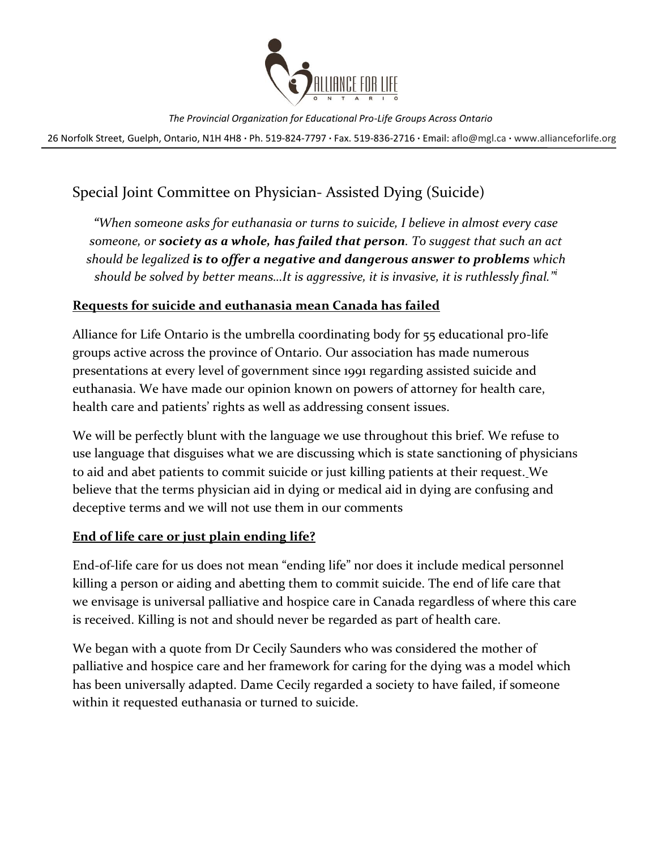

26 Norfolk Street, Guelph, Ontario, N1H 4H8 **∙** Ph. 519-824-7797 **∙** Fax. 519-836-2716 **∙** Email: [aflo@mgl.ca](mailto:aflo@mgl.ca) **∙** [www.allianceforlife.org](http://www.allianceforlife.org/)

# Special Joint Committee on Physician- Assisted Dying (Suicide)

*"When someone asks for euthanasia or turns to suicide, I believe in almost every case someone, or society as a whole, has failed that person. To suggest that such an act should be legalized is to offer a negative and dangerous answer to problems which should be solved by better means…It is aggressive, it is invasive, it is ruthlessly final."<sup>i</sup>*

### **Requests for suicide and euthanasia mean Canada has failed**

Alliance for Life Ontario is the umbrella coordinating body for 55 educational pro-life groups active across the province of Ontario. Our association has made numerous presentations at every level of government since 1991 regarding assisted suicide and euthanasia. We have made our opinion known on powers of attorney for health care, health care and patients' rights as well as addressing consent issues.

We will be perfectly blunt with the language we use throughout this brief. We refuse to use language that disguises what we are discussing which is state sanctioning of physicians to aid and abet patients to commit suicide or just killing patients at their request. We believe that the terms physician aid in dying or medical aid in dying are confusing and deceptive terms and we will not use them in our comments

### **End of life care or just plain ending life?**

End-of-life care for us does not mean "ending life" nor does it include medical personnel killing a person or aiding and abetting them to commit suicide. The end of life care that we envisage is universal palliative and hospice care in Canada regardless of where this care is received. Killing is not and should never be regarded as part of health care.

We began with a quote from Dr Cecily Saunders who was considered the mother of palliative and hospice care and her framework for caring for the dying was a model which has been universally adapted. Dame Cecily regarded a society to have failed, if someone within it requested euthanasia or turned to suicide.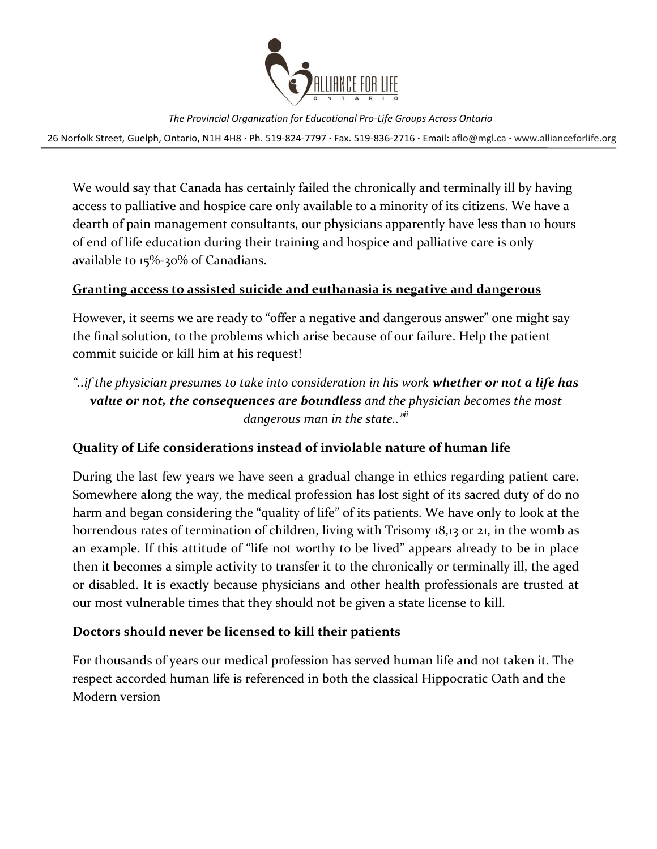

26 Norfolk Street, Guelph, Ontario, N1H 4H8 **∙** Ph. 519-824-7797 **∙** Fax. 519-836-2716 **∙** Email: [aflo@mgl.ca](mailto:aflo@mgl.ca) **∙** [www.allianceforlife.org](http://www.allianceforlife.org/)

We would say that Canada has certainly failed the chronically and terminally ill by having access to palliative and hospice care only available to a minority of its citizens. We have a dearth of pain management consultants, our physicians apparently have less than 10 hours of end of life education during their training and hospice and palliative care is only available to 15%-30% of Canadians.

### **Granting access to assisted suicide and euthanasia is negative and dangerous**

However, it seems we are ready to "offer a negative and dangerous answer" one might say the final solution, to the problems which arise because of our failure. Help the patient commit suicide or kill him at his request!

# *"..if the physician presumes to take into consideration in his work whether or not a life has value or not, the consequences are boundless and the physician becomes the most dangerous man in the state.."ii*

## **Quality of Life considerations instead of inviolable nature of human life**

During the last few years we have seen a gradual change in ethics regarding patient care. Somewhere along the way, the medical profession has lost sight of its sacred duty of do no harm and began considering the "quality of life" of its patients. We have only to look at the horrendous rates of termination of children, living with Trisomy 18,13 or 21, in the womb as an example. If this attitude of "life not worthy to be lived" appears already to be in place then it becomes a simple activity to transfer it to the chronically or terminally ill, the aged or disabled. It is exactly because physicians and other health professionals are trusted at our most vulnerable times that they should not be given a state license to kill.

### **Doctors should never be licensed to kill their patients**

For thousands of years our medical profession has served human life and not taken it. The respect accorded human life is referenced in both the classical Hippocratic Oath and the Modern version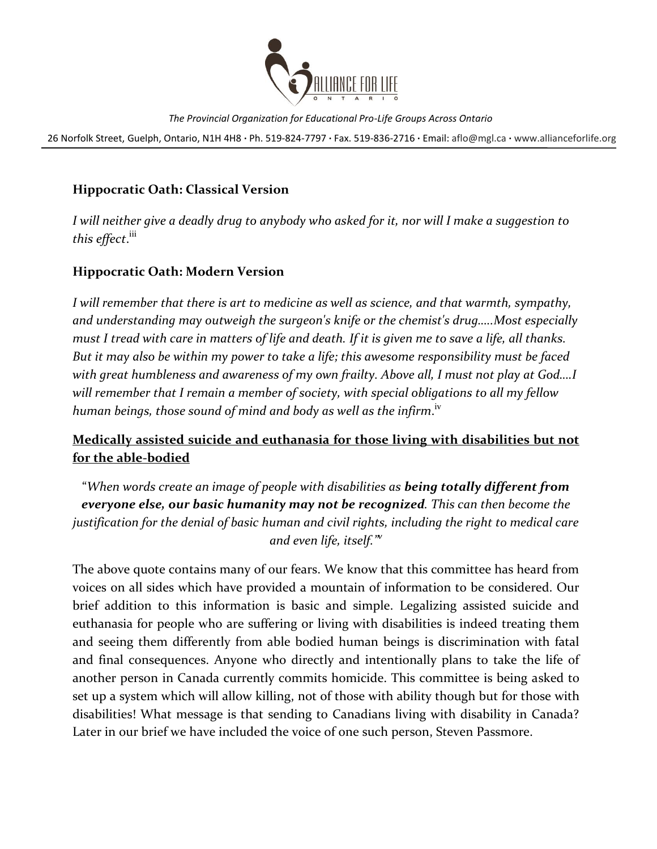

26 Norfolk Street, Guelph, Ontario, N1H 4H8 **∙** Ph. 519-824-7797 **∙** Fax. 519-836-2716 **∙** Email: [aflo@mgl.ca](mailto:aflo@mgl.ca) **∙** [www.allianceforlife.org](http://www.allianceforlife.org/)

## **Hippocratic Oath: Classical Version**

*I will neither give a deadly drug to anybody who asked for it, nor will I make a suggestion to this effect*. iii

### **Hippocratic Oath: Modern Version**

I will remember that there is art to medicine as well as science, and that warmth, sympathy, *and understanding may outweigh the surgeon's knife or the chemist's drug…..Most especially must I tread with care in matters of life and death. If it is given me to save a life, all thanks. But it may also be within my power to take a life; this awesome responsibility must be faced with great humbleness and awareness of my own frailty. Above all, I must not play at God….I will remember that I remain a member of society, with special obligations to all my fellow*  human beings, those sound of mind and body as well as the infirm.<sup>iv</sup>

# **Medically assisted suicide and euthanasia for those living with disabilities but not for the able-bodied**

"*When words create an image of people with disabilities as being totally different from everyone else, our basic humanity may not be recognized. This can then become the justification for the denial of basic human and civil rights, including the right to medical care and even life, itself."<sup>v</sup>*

The above quote contains many of our fears. We know that this committee has heard from voices on all sides which have provided a mountain of information to be considered. Our brief addition to this information is basic and simple. Legalizing assisted suicide and euthanasia for people who are suffering or living with disabilities is indeed treating them and seeing them differently from able bodied human beings is discrimination with fatal and final consequences. Anyone who directly and intentionally plans to take the life of another person in Canada currently commits homicide. This committee is being asked to set up a system which will allow killing, not of those with ability though but for those with disabilities! What message is that sending to Canadians living with disability in Canada? Later in our brief we have included the voice of one such person, Steven Passmore.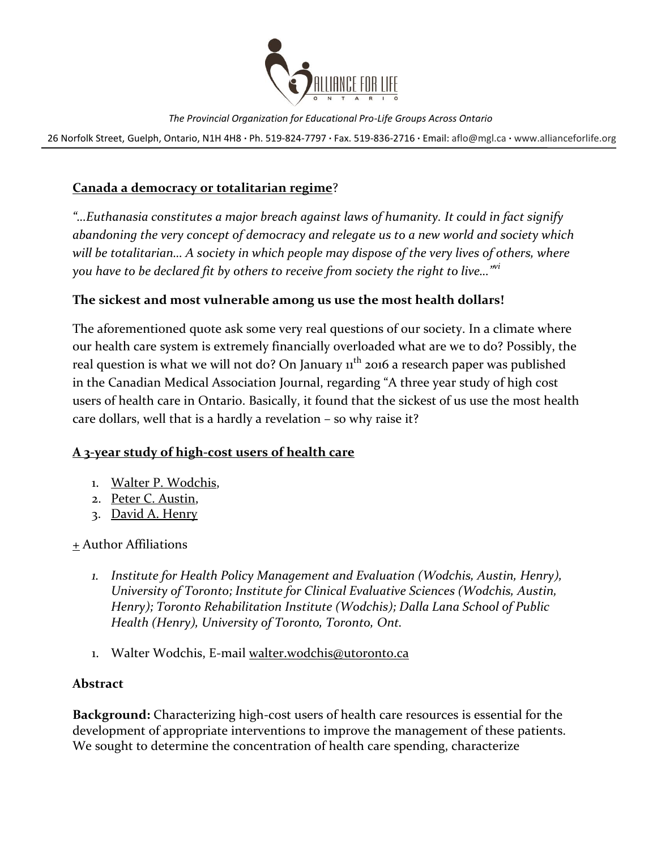

26 Norfolk Street, Guelph, Ontario, N1H 4H8 **∙** Ph. 519-824-7797 **∙** Fax. 519-836-2716 **∙** Email: [aflo@mgl.ca](mailto:aflo@mgl.ca) **∙** [www.allianceforlife.org](http://www.allianceforlife.org/)

## **Canada a democracy or totalitarian regime**?

*"…Euthanasia constitutes a major breach against laws of humanity. It could in fact signify abandoning the very concept of democracy and relegate us to a new world and society which will be totalitarian… A society in which people may dispose of the very lives of others, where you have to be declared fit by others to receive from society the right to live…"vi*

### **The sickest and most vulnerable among us use the most health dollars!**

The aforementioned quote ask some very real questions of our society. In a climate where our health care system is extremely financially overloaded what are we to do? Possibly, the real question is what we will not do? On January  $1<sup>th</sup>$  2016 a research paper was published in the Canadian Medical Association Journal, regarding "A three year study of high cost users of health care in Ontario. Basically, it found that the sickest of us use the most health care dollars, well that is a hardly a revelation – so why raise it?

### **A 3-year study of high-cost users of health care**

- 1. [Walter P. Wodchis,](http://www.cmaj.ca/search?author1=Walter+P.+Wodchis&sortspec=date&submit=Submit)
- 2. [Peter C. Austin,](http://www.cmaj.ca/search?author1=Peter+C.+Austin&sortspec=date&submit=Submit)
- 3. [David A. Henry](http://www.cmaj.ca/search?author1=David+A.+Henry&sortspec=date&submit=Submit)

### [+](http://www.cmaj.ca/content/early/2016/01/11/cmaj.150064) Author Affiliations

- *1. Institute for Health Policy Management and Evaluation (Wodchis, Austin, Henry), University of Toronto; Institute for Clinical Evaluative Sciences (Wodchis, Austin, Henry); Toronto Rehabilitation Institute (Wodchis); Dalla Lana School of Public Health (Henry), University of Toronto, Toronto, Ont.*
- 1. Walter Wodchis, E-mail [walter.wodchis@utoronto.ca](mailto:walter.wodchis@utoronto.ca)

### **Abstract**

**Background:** Characterizing high-cost users of health care resources is essential for the development of appropriate interventions to improve the management of these patients. We sought to determine the concentration of health care spending, characterize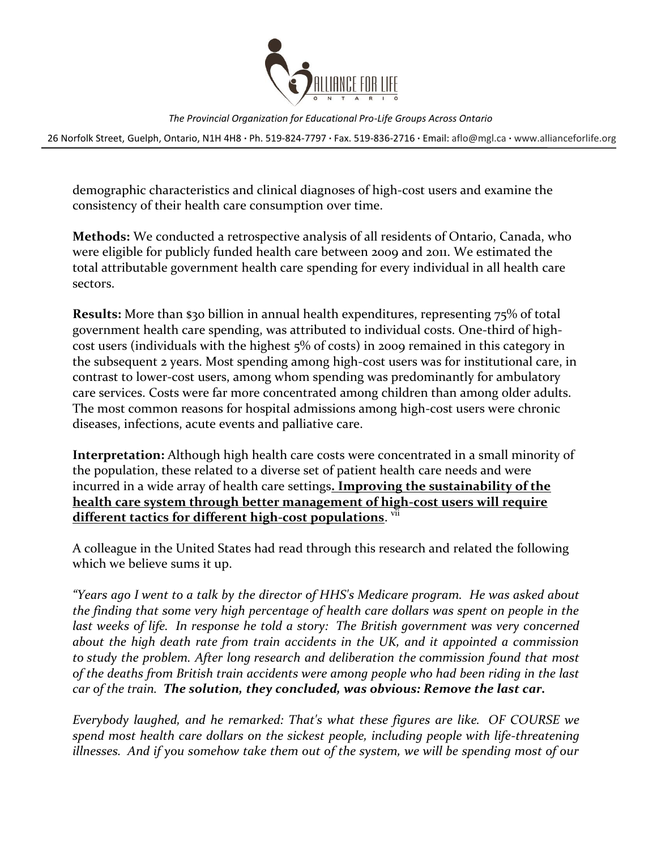

26 Norfolk Street, Guelph, Ontario, N1H 4H8 **∙** Ph. 519-824-7797 **∙** Fax. 519-836-2716 **∙** Email: [aflo@mgl.ca](mailto:aflo@mgl.ca) **∙** [www.allianceforlife.org](http://www.allianceforlife.org/)

demographic characteristics and clinical diagnoses of high-cost users and examine the consistency of their health care consumption over time.

**Methods:** We conducted a retrospective analysis of all residents of Ontario, Canada, who were eligible for publicly funded health care between 2009 and 2011. We estimated the total attributable government health care spending for every individual in all health care sectors.

**Results:** More than \$30 billion in annual health expenditures, representing 75% of total government health care spending, was attributed to individual costs. One-third of highcost users (individuals with the highest 5% of costs) in 2009 remained in this category in the subsequent 2 years. Most spending among high-cost users was for institutional care, in contrast to lower-cost users, among whom spending was predominantly for ambulatory care services. Costs were far more concentrated among children than among older adults. The most common reasons for hospital admissions among high-cost users were chronic diseases, infections, acute events and palliative care.

**Interpretation:** Although high health care costs were concentrated in a small minority of the population, these related to a diverse set of patient health care needs and were incurred in a wide array of health care settings**. Improving the sustainability of the health care system through better management of high-cost users will require different tactics for different high-cost populations**. vii

A colleague in the United States had read through this research and related the following which we believe sums it up.

*"Years ago I went to a talk by the director of HHS's Medicare program. He was asked about the finding that some very high percentage of health care dollars was spent on people in the last weeks of life. In response he told a story: The British government was very concerned about the high death rate from train accidents in the UK, and it appointed a commission to study the problem. After long research and deliberation the commission found that most of the deaths from British train accidents were among people who had been riding in the last car of the train. The solution, they concluded, was obvious: Remove the last car.*

*Everybody laughed, and he remarked: That's what these figures are like. OF COURSE we spend most health care dollars on the sickest people, including people with life-threatening illnesses. And if you somehow take them out of the system, we will be spending most of our*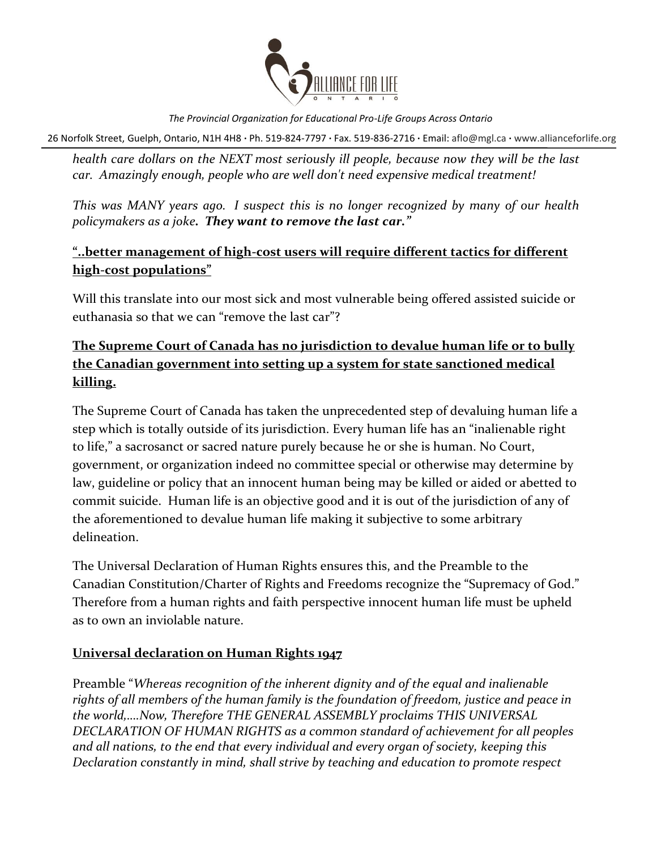

26 Norfolk Street, Guelph, Ontario, N1H 4H8 **∙** Ph. 519-824-7797 **∙** Fax. 519-836-2716 **∙** Email: [aflo@mgl.ca](mailto:aflo@mgl.ca) **∙** [www.allianceforlife.org](http://www.allianceforlife.org/)

*health care dollars on the NEXT most seriously ill people, because now they will be the last car. Amazingly enough, people who are well don't need expensive medical treatment!*

*This was MANY years ago. I suspect this is no longer recognized by many of our health policymakers as a joke. They want to remove the last car."*

## **"..better management of high-cost users will require different tactics for different high-cost populations"**

Will this translate into our most sick and most vulnerable being offered assisted suicide or euthanasia so that we can "remove the last car"?

# **The Supreme Court of Canada has no jurisdiction to devalue human life or to bully the Canadian government into setting up a system for state sanctioned medical killing.**

The Supreme Court of Canada has taken the unprecedented step of devaluing human life a step which is totally outside of its jurisdiction. Every human life has an "inalienable right to life," a sacrosanct or sacred nature purely because he or she is human. No Court, government, or organization indeed no committee special or otherwise may determine by law, guideline or policy that an innocent human being may be killed or aided or abetted to commit suicide. Human life is an objective good and it is out of the jurisdiction of any of the aforementioned to devalue human life making it subjective to some arbitrary delineation.

The Universal Declaration of Human Rights ensures this, and the Preamble to the Canadian Constitution/Charter of Rights and Freedoms recognize the "Supremacy of God." Therefore from a human rights and faith perspective innocent human life must be upheld as to own an inviolable nature.

### **Universal declaration on Human Rights 1947**

Preamble "*Whereas recognition of the inherent dignity and of the equal and inalienable rights of all members of the human family is the foundation of freedom, justice and peace in the world,….Now, Therefore THE GENERAL ASSEMBLY proclaims THIS UNIVERSAL DECLARATION OF HUMAN RIGHTS as a common standard of achievement for all peoples and all nations, to the end that every individual and every organ of society, keeping this Declaration constantly in mind, shall strive by teaching and education to promote respect*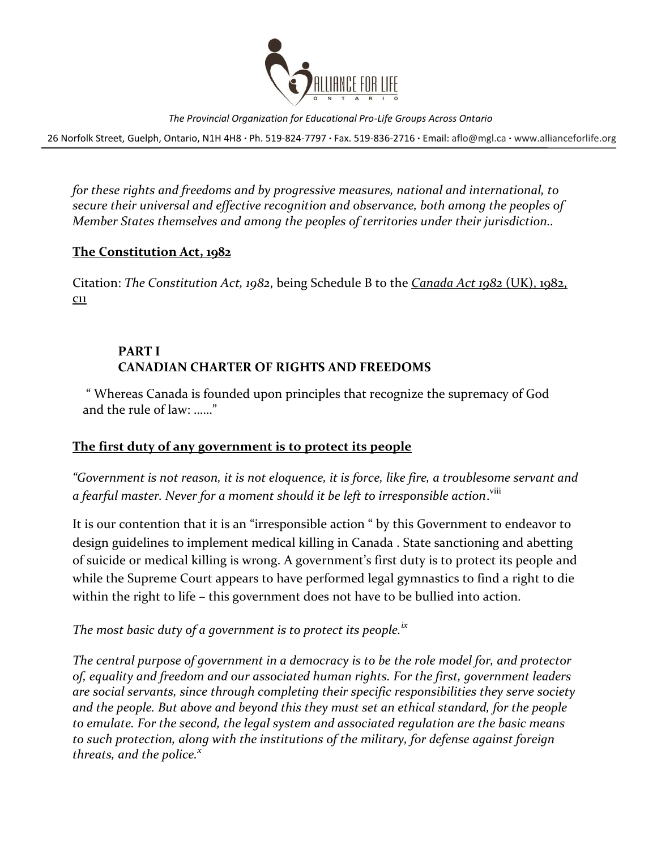

26 Norfolk Street, Guelph, Ontario, N1H 4H8 **∙** Ph. 519-824-7797 **∙** Fax. 519-836-2716 **∙** Email: [aflo@mgl.ca](mailto:aflo@mgl.ca) **∙** [www.allianceforlife.org](http://www.allianceforlife.org/)

*for these rights and freedoms and by progressive measures, national and international, to secure their universal and effective recognition and observance, both among the peoples of Member States themselves and among the peoples of territories under their jurisdiction..*

### **The Constitution Act, 1982**

Citation: *The Constitution Act, 1982*, being Schedule B to the *[Canada Act 1982](http://www.statutelaw.gov.uk/documents/1982/11/ukpga)* (UK), 1982, [c11](http://www.statutelaw.gov.uk/documents/1982/11/ukpga) 

## **PART I CANADIAN CHARTER OF RIGHTS AND FREEDOMS**

" Whereas Canada is founded upon principles that recognize the supremacy of God and the rule of law: ……"

## **The first duty of any government is to protect its people**

*"Government is not reason, it is not eloquence, it is force, like fire, a troublesome servant and*  a fearful master. Never for a moment should it be left to irresponsible action.<sup>viii</sup>

It is our contention that it is an "irresponsible action " by this Government to endeavor to design guidelines to implement medical killing in Canada . State sanctioning and abetting of suicide or medical killing is wrong. A government's first duty is to protect its people and while the Supreme Court appears to have performed legal gymnastics to find a right to die within the right to life – this government does not have to be bullied into action.

*The most basic duty of a government is to protect its people.ix*

*The central purpose of government in a democracy is to be the role model for, and protector of, equality and freedom and our associated human rights. For the first, government leaders are social servants, since through completing their specific responsibilities they serve society and the people. But above and beyond this they must set an ethical standard, for the people to emulate. For the second, the legal system and associated regulation are the basic means to such protection, along with the institutions of the military, for defense against foreign threats, and the police.<sup>x</sup>*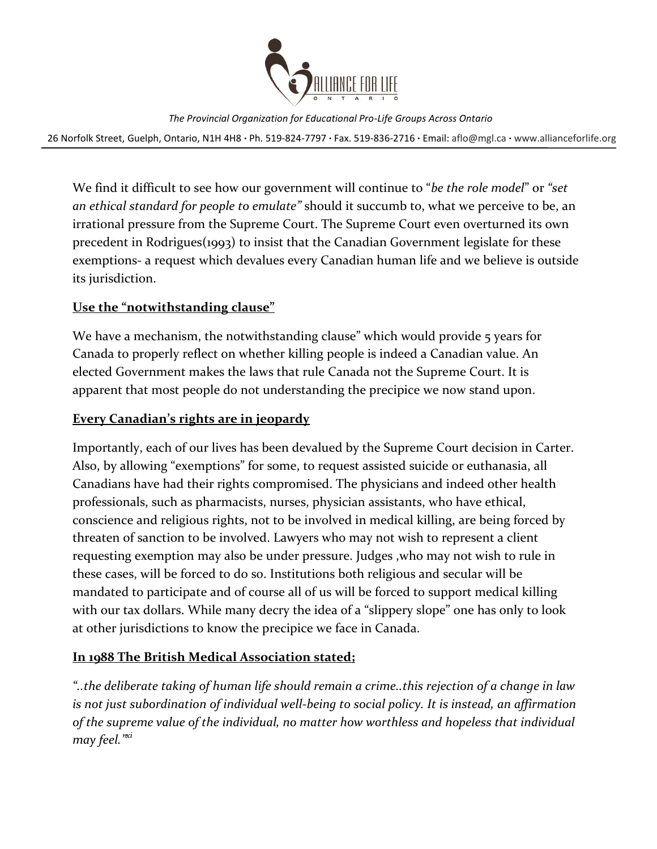

26 Norfolk Street, Guelph, Ontario, N1H 4H8 **∙** Ph. 519-824-7797 **∙** Fax. 519-836-2716 **∙** Email: [aflo@mgl.ca](mailto:aflo@mgl.ca) **∙** [www.allianceforlife.org](http://www.allianceforlife.org/)

We find it difficult to see how our government will continue to "*be the role model*" or *"set an ethical standard for people to emulate"* should it succumb to, what we perceive to be, an irrational pressure from the Supreme Court. The Supreme Court even overturned its own precedent in Rodrigues(1993) to insist that the Canadian Government legislate for these exemptions- a request which devalues every Canadian human life and we believe is outside its jurisdiction.

### **Use the "notwithstanding clause"**

We have a mechanism, the notwithstanding clause" which would provide 5 years for Canada to properly reflect on whether killing people is indeed a Canadian value. An elected Government makes the laws that rule Canada not the Supreme Court. It is apparent that most people do not understanding the precipice we now stand upon.

### **Every Canadian's rights are in jeopardy**

Importantly, each of our lives has been devalued by the Supreme Court decision in Carter. Also, by allowing "exemptions" for some, to request assisted suicide or euthanasia, all Canadians have had their rights compromised. The physicians and indeed other health professionals, such as pharmacists, nurses, physician assistants, who have ethical, conscience and religious rights, not to be involved in medical killing, are being forced by threaten of sanction to be involved. Lawyers who may not wish to represent a client requesting exemption may also be under pressure. Judges ,who may not wish to rule in these cases, will be forced to do so. Institutions both religious and secular will be mandated to participate and of course all of us will be forced to support medical killing with our tax dollars. While many decry the idea of a "slippery slope" one has only to look at other jurisdictions to know the precipice we face in Canada.

### **In 1988 The British Medical Association stated;**

*"..the deliberate taking of human life should remain a crime..this rejection of a change in law is not just subordination of individual well-being to social policy. It is instead, an affirmation of the supreme value of the individual, no matter how worthless and hopeless that individual may feel."xi*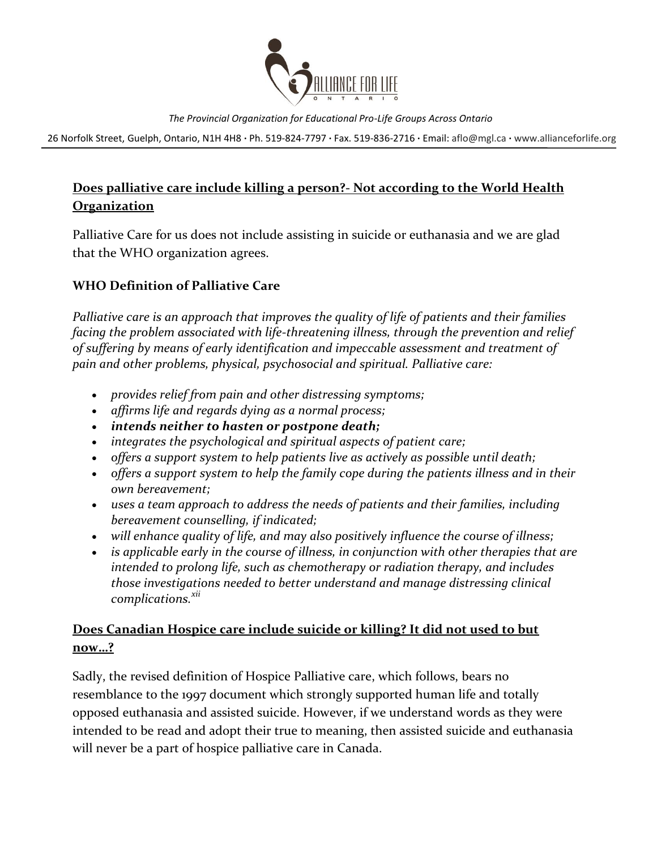

26 Norfolk Street, Guelph, Ontario, N1H 4H8 **∙** Ph. 519-824-7797 **∙** Fax. 519-836-2716 **∙** Email: [aflo@mgl.ca](mailto:aflo@mgl.ca) **∙** [www.allianceforlife.org](http://www.allianceforlife.org/)

# **Does palliative care include killing a person?- Not according to the World Health Organization**

Palliative Care for us does not include assisting in suicide or euthanasia and we are glad that the WHO organization agrees.

## **WHO Definition of Palliative Care**

*Palliative care is an approach that improves the quality of life of patients and their families facing the problem associated with life-threatening illness, through the prevention and relief of suffering by means of early identification and impeccable assessment and treatment of pain and other problems, physical, psychosocial and spiritual. Palliative care:*

- *provides relief from pain and other distressing symptoms;*
- *affirms life and regards dying as a normal process;*
- *intends neither to hasten or postpone death;*
- *integrates the psychological and spiritual aspects of patient care;*
- *offers a support system to help patients live as actively as possible until death;*
- *offers a support system to help the family cope during the patients illness and in their own bereavement;*
- *uses a team approach to address the needs of patients and their families, including bereavement counselling, if indicated;*
- *will enhance quality of life, and may also positively influence the course of illness;*
- *is applicable early in the course of illness, in conjunction with other therapies that are intended to prolong life, such as chemotherapy or radiation therapy, and includes those investigations needed to better understand and manage distressing clinical complications.xii*

# **Does Canadian Hospice care include suicide or killing? It did not used to but now…?**

Sadly, the revised definition of Hospice Palliative care, which follows, bears no resemblance to the 1997 document which strongly supported human life and totally opposed euthanasia and assisted suicide. However, if we understand words as they were intended to be read and adopt their true to meaning, then assisted suicide and euthanasia will never be a part of hospice palliative care in Canada.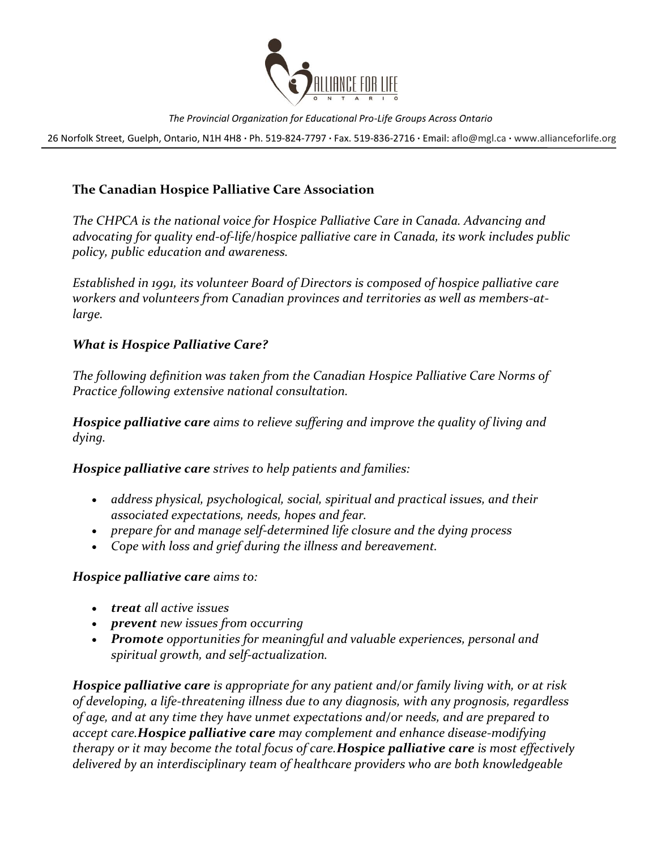

26 Norfolk Street, Guelph, Ontario, N1H 4H8 **∙** Ph. 519-824-7797 **∙** Fax. 519-836-2716 **∙** Email: [aflo@mgl.ca](mailto:aflo@mgl.ca) **∙** [www.allianceforlife.org](http://www.allianceforlife.org/)

### **The Canadian Hospice Palliative Care Association**

*The CHPCA is the national voice for Hospice Palliative Care in Canada. Advancing and advocating for quality end-of-life/hospice palliative care in Canada, its work includes public policy, public education and awareness.* 

*Established in 1991, its volunteer Board of Directors is composed of hospice palliative care workers and volunteers from Canadian provinces and territories as well as members-atlarge.*

### *What is Hospice Palliative Care?*

*The following definition was taken from the Canadian Hospice Palliative Care Norms of Practice following extensive national consultation.*

*Hospice palliative care aims to relieve suffering and improve the quality of living and dying.*

*Hospice palliative care strives to help patients and families:*

- *address physical, psychological, social, spiritual and practical issues, and their associated expectations, needs, hopes and fear.*
- *prepare for and manage self-determined life closure and the dying process*
- *Cope with loss and grief during the illness and bereavement.*

### *Hospice palliative care aims to:*

- *treat all active issues*
- *prevent new issues from occurring*
- *Promote opportunities for meaningful and valuable experiences, personal and spiritual growth, and self-actualization.*

*Hospice palliative care is appropriate for any patient and/or family living with, or at risk of developing, a life-threatening illness due to any diagnosis, with any prognosis, regardless of age, and at any time they have unmet expectations and/or needs, and are prepared to accept care.Hospice palliative care may complement and enhance disease-modifying therapy or it may become the total focus of care.Hospice palliative care is most effectively delivered by an interdisciplinary team of healthcare providers who are both knowledgeable*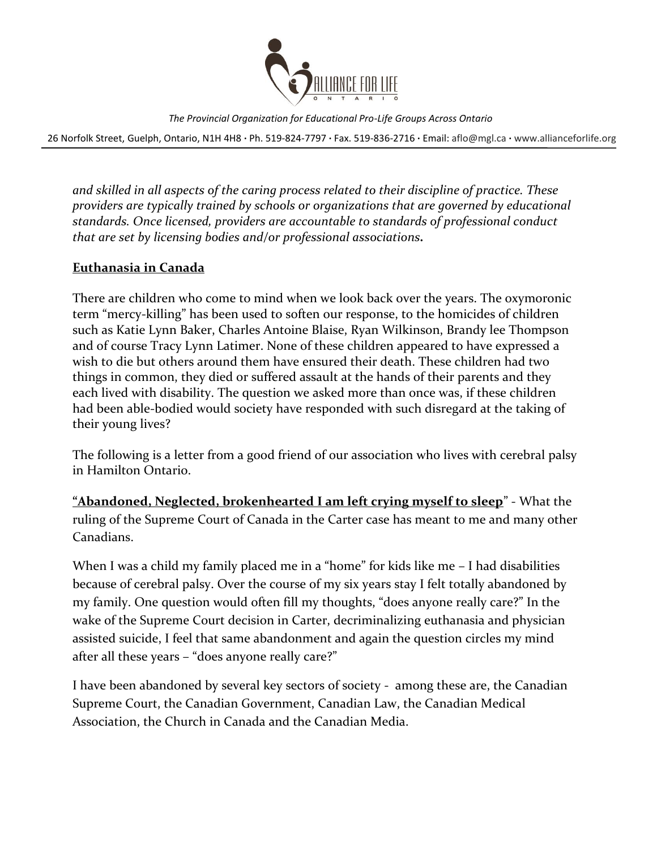

26 Norfolk Street, Guelph, Ontario, N1H 4H8 **∙** Ph. 519-824-7797 **∙** Fax. 519-836-2716 **∙** Email: [aflo@mgl.ca](mailto:aflo@mgl.ca) **∙** [www.allianceforlife.org](http://www.allianceforlife.org/)

*and skilled in all aspects of the caring process related to their discipline of practice. These providers are typically trained by schools or organizations that are governed by educational standards. Once licensed, providers are accountable to standards of professional conduct that are set by licensing bodies and/or professional associations.*

### **Euthanasia in Canada**

There are children who come to mind when we look back over the years. The oxymoronic term "mercy-killing" has been used to soften our response, to the homicides of children such as Katie Lynn Baker, Charles Antoine Blaise, Ryan Wilkinson, Brandy lee Thompson and of course Tracy Lynn Latimer. None of these children appeared to have expressed a wish to die but others around them have ensured their death. These children had two things in common, they died or suffered assault at the hands of their parents and they each lived with disability. The question we asked more than once was, if these children had been able-bodied would society have responded with such disregard at the taking of their young lives?

The following is a letter from a good friend of our association who lives with cerebral palsy in Hamilton Ontario.

**"Abandoned, Neglected, brokenhearted I am left crying myself to sleep**" - What the ruling of the Supreme Court of Canada in the Carter case has meant to me and many other Canadians.

When I was a child my family placed me in a "home" for kids like me - I had disabilities because of cerebral palsy. Over the course of my six years stay I felt totally abandoned by my family. One question would often fill my thoughts, "does anyone really care?" In the wake of the Supreme Court decision in Carter, decriminalizing euthanasia and physician assisted suicide, I feel that same abandonment and again the question circles my mind after all these years – "does anyone really care?"

I have been abandoned by several key sectors of society - among these are, the Canadian Supreme Court, the Canadian Government, Canadian Law, the Canadian Medical Association, the Church in Canada and the Canadian Media.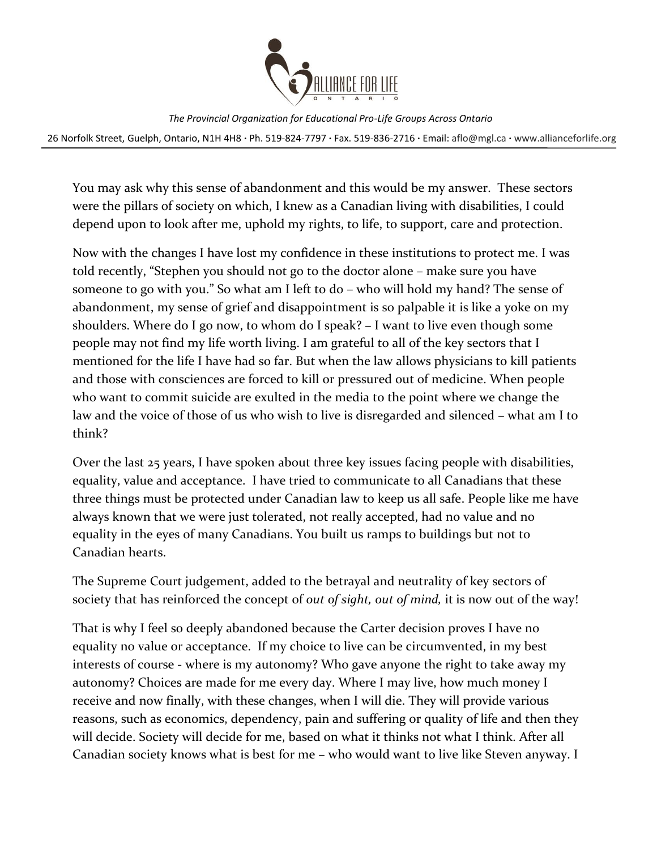

26 Norfolk Street, Guelph, Ontario, N1H 4H8 **∙** Ph. 519-824-7797 **∙** Fax. 519-836-2716 **∙** Email: [aflo@mgl.ca](mailto:aflo@mgl.ca) **∙** [www.allianceforlife.org](http://www.allianceforlife.org/)

You may ask why this sense of abandonment and this would be my answer. These sectors were the pillars of society on which, I knew as a Canadian living with disabilities, I could depend upon to look after me, uphold my rights, to life, to support, care and protection.

Now with the changes I have lost my confidence in these institutions to protect me. I was told recently, "Stephen you should not go to the doctor alone – make sure you have someone to go with you." So what am I left to do – who will hold my hand? The sense of abandonment, my sense of grief and disappointment is so palpable it is like a yoke on my shoulders. Where do I go now, to whom do I speak? – I want to live even though some people may not find my life worth living. I am grateful to all of the key sectors that I mentioned for the life I have had so far. But when the law allows physicians to kill patients and those with consciences are forced to kill or pressured out of medicine. When people who want to commit suicide are exulted in the media to the point where we change the law and the voice of those of us who wish to live is disregarded and silenced – what am I to think?

Over the last 25 years, I have spoken about three key issues facing people with disabilities, equality, value and acceptance. I have tried to communicate to all Canadians that these three things must be protected under Canadian law to keep us all safe. People like me have always known that we were just tolerated, not really accepted, had no value and no equality in the eyes of many Canadians. You built us ramps to buildings but not to Canadian hearts.

The Supreme Court judgement, added to the betrayal and neutrality of key sectors of society that has reinforced the concept of *out of sight, out of mind,* it is now out of the way!

That is why I feel so deeply abandoned because the Carter decision proves I have no equality no value or acceptance. If my choice to live can be circumvented, in my best interests of course - where is my autonomy? Who gave anyone the right to take away my autonomy? Choices are made for me every day. Where I may live, how much money I receive and now finally, with these changes, when I will die. They will provide various reasons, such as economics, dependency, pain and suffering or quality of life and then they will decide. Society will decide for me, based on what it thinks not what I think. After all Canadian society knows what is best for me – who would want to live like Steven anyway. I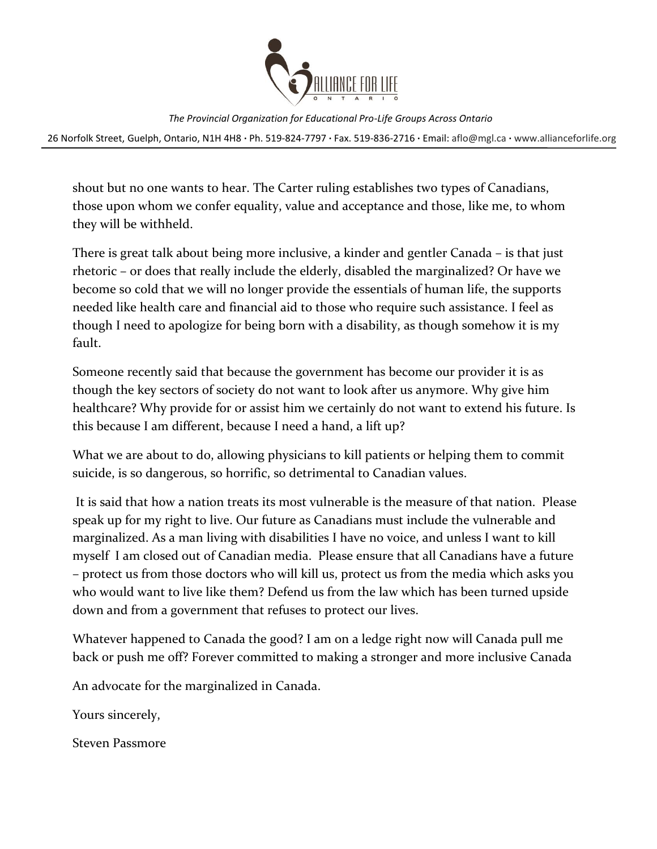

26 Norfolk Street, Guelph, Ontario, N1H 4H8 **∙** Ph. 519-824-7797 **∙** Fax. 519-836-2716 **∙** Email: [aflo@mgl.ca](mailto:aflo@mgl.ca) **∙** [www.allianceforlife.org](http://www.allianceforlife.org/)

shout but no one wants to hear. The Carter ruling establishes two types of Canadians, those upon whom we confer equality, value and acceptance and those, like me, to whom they will be withheld.

There is great talk about being more inclusive, a kinder and gentler Canada – is that just rhetoric – or does that really include the elderly, disabled the marginalized? Or have we become so cold that we will no longer provide the essentials of human life, the supports needed like health care and financial aid to those who require such assistance. I feel as though I need to apologize for being born with a disability, as though somehow it is my fault.

Someone recently said that because the government has become our provider it is as though the key sectors of society do not want to look after us anymore. Why give him healthcare? Why provide for or assist him we certainly do not want to extend his future. Is this because I am different, because I need a hand, a lift up?

What we are about to do, allowing physicians to kill patients or helping them to commit suicide, is so dangerous, so horrific, so detrimental to Canadian values.

It is said that how a nation treats its most vulnerable is the measure of that nation. Please speak up for my right to live. Our future as Canadians must include the vulnerable and marginalized. As a man living with disabilities I have no voice, and unless I want to kill myself I am closed out of Canadian media. Please ensure that all Canadians have a future – protect us from those doctors who will kill us, protect us from the media which asks you who would want to live like them? Defend us from the law which has been turned upside down and from a government that refuses to protect our lives.

Whatever happened to Canada the good? I am on a ledge right now will Canada pull me back or push me off? Forever committed to making a stronger and more inclusive Canada

An advocate for the marginalized in Canada.

Yours sincerely,

Steven Passmore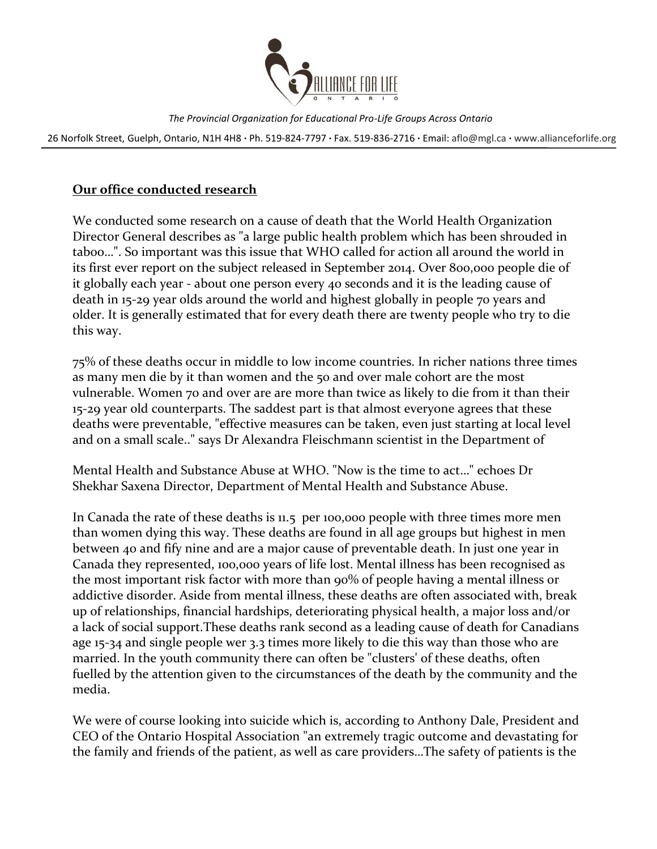

26 Norfolk Street, Guelph, Ontario, N1H 4H8 **∙** Ph. 519-824-7797 **∙** Fax. 519-836-2716 **∙** Email: [aflo@mgl.ca](mailto:aflo@mgl.ca) **∙** [www.allianceforlife.org](http://www.allianceforlife.org/)

### **Our office conducted research**

We conducted some research on a cause of death that the World Health Organization Director General describes as "a large public health problem which has been shrouded in taboo…". So important was this issue that WHO called for action all around the world in its first ever report on the subject released in September 2014. Over 800,000 people die of it globally each year - about one person every 40 seconds and it is the leading cause of death in 15-29 year olds around the world and highest globally in people 70 years and older. It is generally estimated that for every death there are twenty people who try to die this way.

75% of these deaths occur in middle to low income countries. In richer nations three times as many men die by it than women and the 50 and over male cohort are the most vulnerable. Women 70 and over are are more than twice as likely to die from it than their 15-29 year old counterparts. The saddest part is that almost everyone agrees that these deaths were preventable, "effective measures can be taken, even just starting at local level and on a small scale.." says Dr Alexandra Fleischmann scientist in the Department of

Mental Health and Substance Abuse at WHO. "Now is the time to act…" echoes Dr Shekhar Saxena Director, Department of Mental Health and Substance Abuse.

In Canada the rate of these deaths is 11.5 per 100,000 people with three times more men than women dying this way. These deaths are found in all age groups but highest in men between 40 and fify nine and are a major cause of preventable death. In just one year in Canada they represented, 100,000 years of life lost. Mental illness has been recognised as the most important risk factor with more than 90% of people having a mental illness or addictive disorder. Aside from mental illness, these deaths are often associated with, break up of relationships, financial hardships, deteriorating physical health, a major loss and/or a lack of social support.These deaths rank second as a leading cause of death for Canadians age 15-34 and single people wer 3.3 times more likely to die this way than those who are married. In the youth community there can often be "clusters' of these deaths, often fuelled by the attention given to the circumstances of the death by the community and the media.

We were of course looking into suicide which is, according to Anthony Dale, President and CEO of the Ontario Hospital Association "an extremely tragic outcome and devastating for the family and friends of the patient, as well as care providers…The safety of patients is the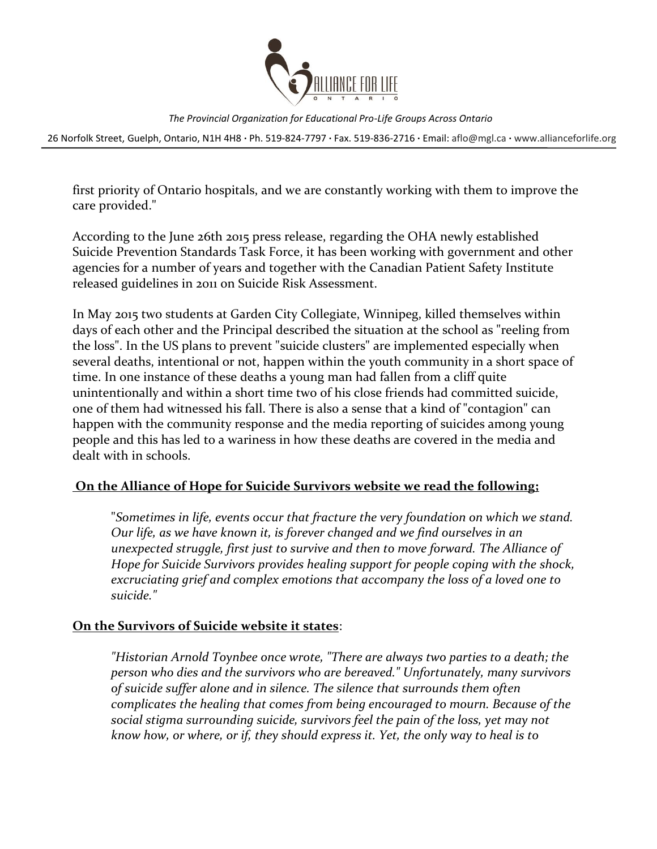

26 Norfolk Street, Guelph, Ontario, N1H 4H8 **∙** Ph. 519-824-7797 **∙** Fax. 519-836-2716 **∙** Email: [aflo@mgl.ca](mailto:aflo@mgl.ca) **∙** [www.allianceforlife.org](http://www.allianceforlife.org/)

first priority of Ontario hospitals, and we are constantly working with them to improve the care provided."

According to the June 26th 2015 press release, regarding the OHA newly established Suicide Prevention Standards Task Force, it has been working with government and other agencies for a number of years and together with the Canadian Patient Safety Institute released guidelines in 2011 on Suicide Risk Assessment.

In May 2015 two students at Garden City Collegiate, Winnipeg, killed themselves within days of each other and the Principal described the situation at the school as "reeling from the loss". In the US plans to prevent "suicide clusters" are implemented especially when several deaths, intentional or not, happen within the youth community in a short space of time. In one instance of these deaths a young man had fallen from a cliff quite unintentionally and within a short time two of his close friends had committed suicide, one of them had witnessed his fall. There is also a sense that a kind of "contagion" can happen with the community response and the media reporting of suicides among young people and this has led to a wariness in how these deaths are covered in the media and dealt with in schools.

### **On the Alliance of Hope for Suicide Survivors website we read the following;**

"*Sometimes in life, events occur that fracture the very foundation on which we stand. Our life, as we have known it, is forever changed and we find ourselves in an unexpected struggle, first just to survive and then to move forward. The Alliance of Hope for Suicide Survivors provides healing support for people coping with the shock, excruciating grief and complex emotions that accompany the loss of a loved one to suicide."*

### **On the Survivors of Suicide website it states**:

*"Historian Arnold Toynbee once wrote, "There are always two parties to a death; the person who dies and the survivors who are bereaved." Unfortunately, many survivors of suicide suffer alone and in silence. The silence that surrounds them often complicates the healing that comes from being encouraged to mourn. Because of the social stigma surrounding suicide, survivors feel the pain of the loss, yet may not know how, or where, or if, they should express it. Yet, the only way to heal is to*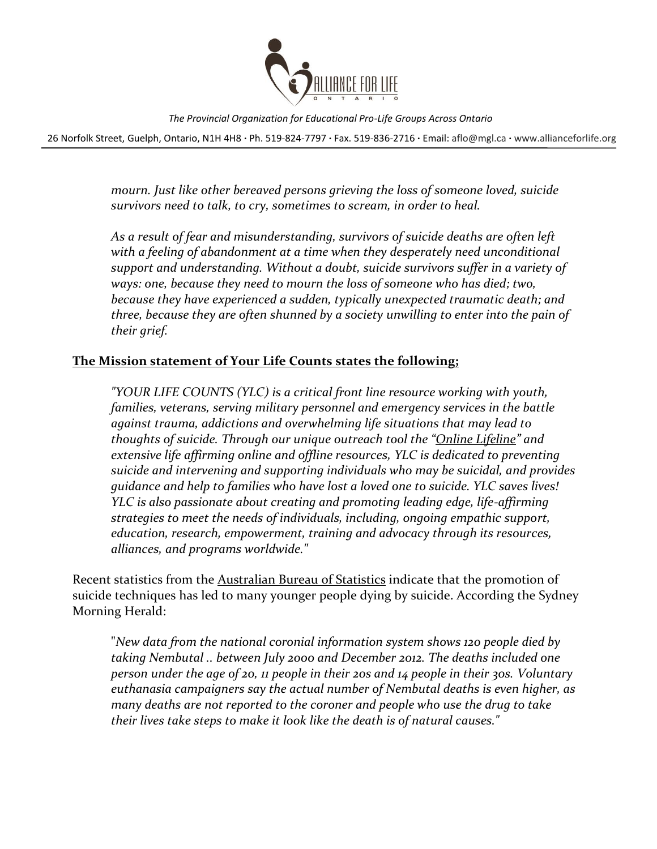

26 Norfolk Street, Guelph, Ontario, N1H 4H8 **∙** Ph. 519-824-7797 **∙** Fax. 519-836-2716 **∙** Email: [aflo@mgl.ca](mailto:aflo@mgl.ca) **∙** [www.allianceforlife.org](http://www.allianceforlife.org/)

*mourn. Just like other bereaved persons grieving the loss of someone loved, suicide survivors need to talk, to cry, sometimes to scream, in order to heal.* 

*As a result of fear and misunderstanding, survivors of suicide deaths are often left*  with a feeling of abandonment at a time when they desperately need unconditional *support and understanding. Without a doubt, suicide survivors suffer in a variety of ways: one, because they need to mourn the loss of someone who has died; two, because they have experienced a sudden, typically unexpected traumatic death; and three, because they are often shunned by a society unwilling to enter into the pain of their grief.*

### **The Mission statement of Your Life Counts states the following;**

*"YOUR LIFE COUNTS (YLC) is a critical front line resource working with youth, families, veterans, serving military personnel and emergency services in the battle against trauma, addictions and overwhelming life situations that may lead to thoughts of suicide. Through our unique outreach tool the "[Online Lifeline](http://www.yourlifecounts.org/need-help)" and extensive life affirming online and offline resources, YLC is dedicated to preventing suicide and intervening and supporting individuals who may be suicidal, and provides guidance and help to families who have lost a loved one to suicide. YLC saves lives! YLC is also passionate about creating and promoting leading edge, life-affirming strategies to meet the needs of individuals, including, ongoing empathic support, education, research, empowerment, training and advocacy through its resources, alliances, and programs worldwide."*

Recent statistics from the [Australian Bureau of Statistics](http://www.abs.gov.au/AUSSTATS/abs@.nsf/DetailsPage/3303.02013?OpenDocument) indicate that the promotion of suicide techniques has led to many younger people dying by suicide. According the Sydney Morning Herald:

"*New data from the national coronial information system shows 120 people died by taking Nembutal .. between July 2000 and December 2012. The deaths included one person under the age of 20, 11 people in their 20s and 14 people in their 30s. Voluntary euthanasia campaigners say the actual number of Nembutal deaths is even higher, as many deaths are not reported to the coroner and people who use the drug to take their lives take steps to make it look like the death is of natural causes."*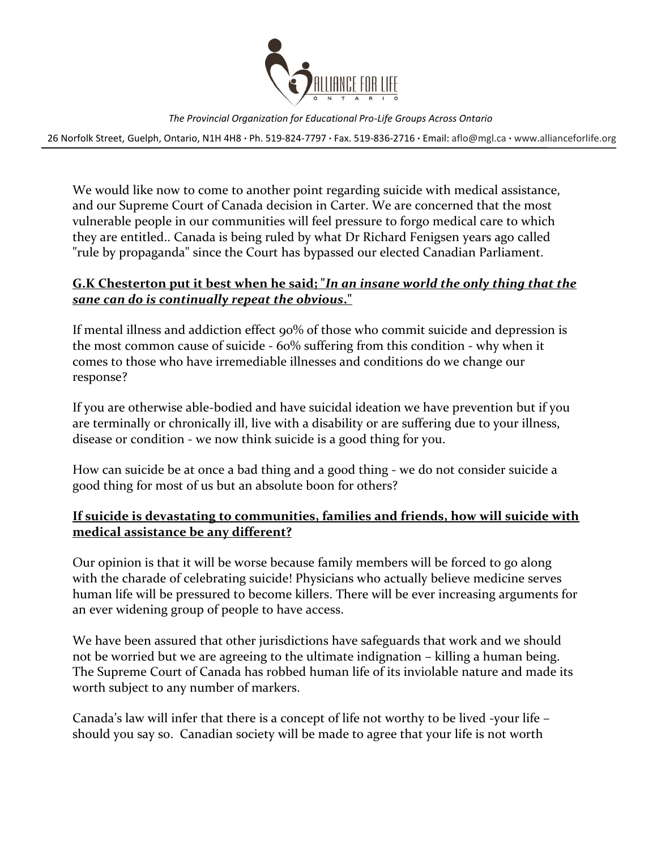

26 Norfolk Street, Guelph, Ontario, N1H 4H8 **∙** Ph. 519-824-7797 **∙** Fax. 519-836-2716 **∙** Email: [aflo@mgl.ca](mailto:aflo@mgl.ca) **∙** [www.allianceforlife.org](http://www.allianceforlife.org/)

We would like now to come to another point regarding suicide with medical assistance, and our Supreme Court of Canada decision in Carter. We are concerned that the most vulnerable people in our communities will feel pressure to forgo medical care to which they are entitled.. Canada is being ruled by what Dr Richard Fenigsen years ago called "rule by propaganda" since the Court has bypassed our elected Canadian Parliament.

### **G.K Chesterton put it best when he said; "***In an insane world the only thing that the sane can do is continually repeat the obvious***."**

If mental illness and addiction effect 90% of those who commit suicide and depression is the most common cause of suicide - 60% suffering from this condition - why when it comes to those who have irremediable illnesses and conditions do we change our response?

If you are otherwise able-bodied and have suicidal ideation we have prevention but if you are terminally or chronically ill, live with a disability or are suffering due to your illness, disease or condition - we now think suicide is a good thing for you.

How can suicide be at once a bad thing and a good thing - we do not consider suicide a good thing for most of us but an absolute boon for others?

### **If suicide is devastating to communities, families and friends, how will suicide with medical assistance be any different?**

Our opinion is that it will be worse because family members will be forced to go along with the charade of celebrating suicide! Physicians who actually believe medicine serves human life will be pressured to become killers. There will be ever increasing arguments for an ever widening group of people to have access.

We have been assured that other jurisdictions have safeguards that work and we should not be worried but we are agreeing to the ultimate indignation – killing a human being. The Supreme Court of Canada has robbed human life of its inviolable nature and made its worth subject to any number of markers.

Canada's law will infer that there is a concept of life not worthy to be lived -your life – should you say so. Canadian society will be made to agree that your life is not worth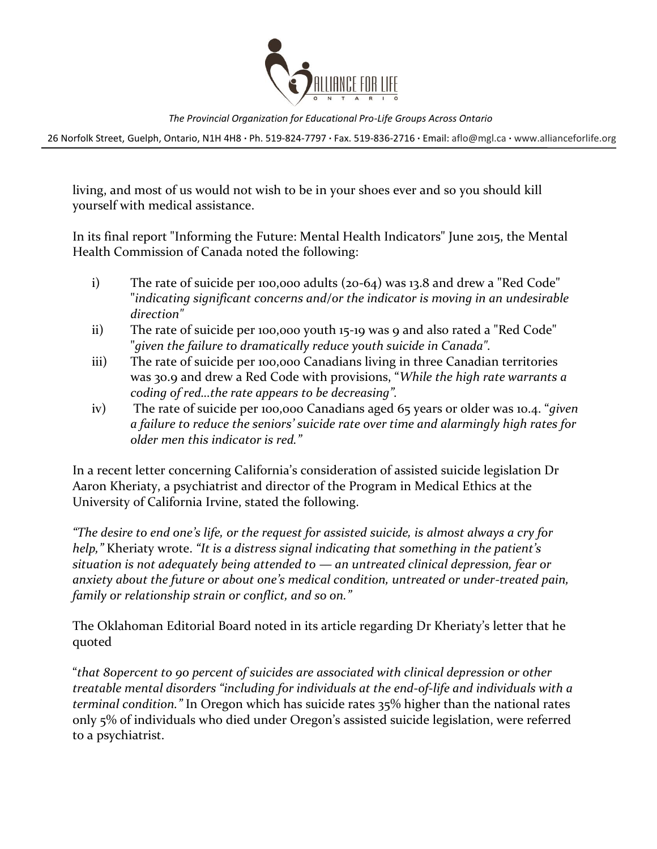

26 Norfolk Street, Guelph, Ontario, N1H 4H8 **∙** Ph. 519-824-7797 **∙** Fax. 519-836-2716 **∙** Email: [aflo@mgl.ca](mailto:aflo@mgl.ca) **∙** [www.allianceforlife.org](http://www.allianceforlife.org/)

living, and most of us would not wish to be in your shoes ever and so you should kill yourself with medical assistance.

In its final report "Informing the Future: Mental Health Indicators" June 2015, the Mental Health Commission of Canada noted the following:

- i) The rate of suicide per 100,000 adults (20-64) was 13.8 and drew a "Red Code" "*indicating significant concerns and/or the indicator is moving in an undesirable direction"*
- ii) The rate of suicide per 100,000 youth 15-19 was 9 and also rated a "Red Code" "*given the failure to dramatically reduce youth suicide in Canada".*
- iii) The rate of suicide per 100,000 Canadians living in three Canadian territories was 30.9 and drew a Red Code with provisions, "*While the high rate warrants a coding of red…the rate appears to be decreasing".*
- iv) The rate of suicide per 100,000 Canadians aged 65 years or older was 10.4. "*given a failure to reduce the seniors' suicide rate over time and alarmingly high rates for older men this indicator is red."*

In a recent letter concerning California's consideration of assisted suicide legislation Dr Aaron Kheriaty, a psychiatrist and director of the Program in Medical Ethics at the University of California Irvine, stated the following.

*"The desire to end one's life, or the request for assisted suicide, is almost always a cry for help,"* Kheriaty wrote. *"It is a distress signal indicating that something in the patient's situation is not adequately being attended to — an untreated clinical depression, fear or anxiety about the future or about one's medical condition, untreated or under-treated pain, family or relationship strain or conflict, and so on."*

The Oklahoman Editorial Board noted in its article regarding Dr Kheriaty's letter that he quoted

"*that 80percent to 90 percent of suicides are associated with clinical depression or other treatable mental disorders "including for individuals at the end-of-life and individuals with a terminal condition."* In Oregon which has suicide rates 35% higher than the national rates only 5% of individuals who died under Oregon's assisted suicide legislation, were referred to a psychiatrist.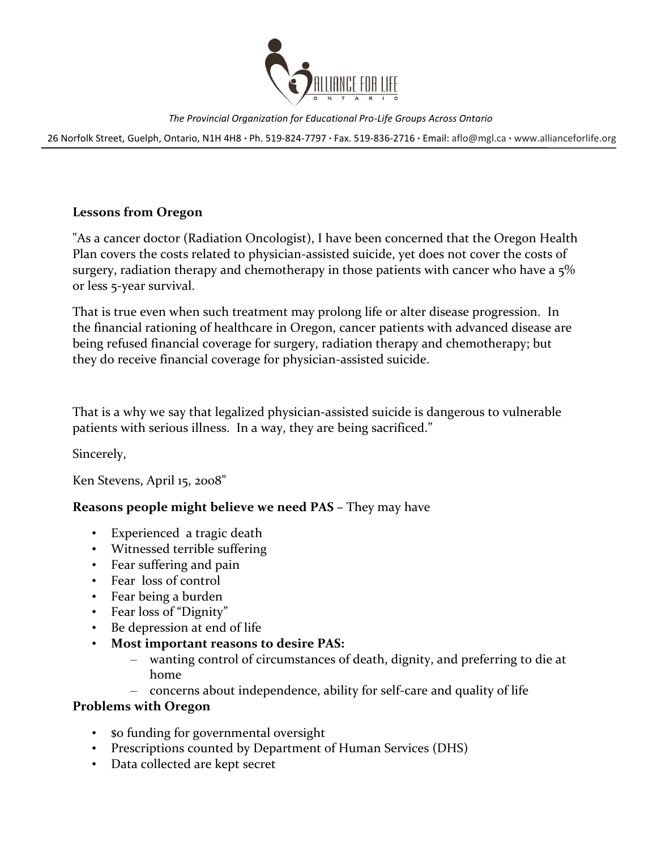

26 Norfolk Street, Guelph, Ontario, N1H 4H8 **∙** Ph. 519-824-7797 **∙** Fax. 519-836-2716 **∙** Email: [aflo@mgl.ca](mailto:aflo@mgl.ca) **∙** [www.allianceforlife.org](http://www.allianceforlife.org/)

### **Lessons from Oregon**

"As a cancer doctor (Radiation Oncologist), I have been concerned that the Oregon Health Plan covers the costs related to physician-assisted suicide, yet does not cover the costs of surgery, radiation therapy and chemotherapy in those patients with cancer who have a  $5\%$ or less 5-year survival.

That is true even when such treatment may prolong life or alter disease progression. In the financial rationing of healthcare in Oregon, cancer patients with advanced disease are being refused financial coverage for surgery, radiation therapy and chemotherapy; but they do receive financial coverage for physician-assisted suicide.

That is a why we say that legalized physician-assisted suicide is dangerous to vulnerable patients with serious illness. In a way, they are being sacrificed."

Sincerely,

Ken Stevens, April 15, 2008"

### **Reasons people might believe we need PAS –** They may have

- Experienced a tragic death
- Witnessed terrible suffering
- Fear suffering and pain
- Fear loss of control
- Fear being a burden
- Fear loss of "Dignity"
- Be depression at end of life
- **Most important reasons to desire PAS:**
	- wanting control of circumstances of death, dignity, and preferring to die at home
	- concerns about independence, ability for self-care and quality of life

### **Problems with Oregon**

- \$0 funding for governmental oversight
- Prescriptions counted by Department of Human Services (DHS)
- Data collected are kept secret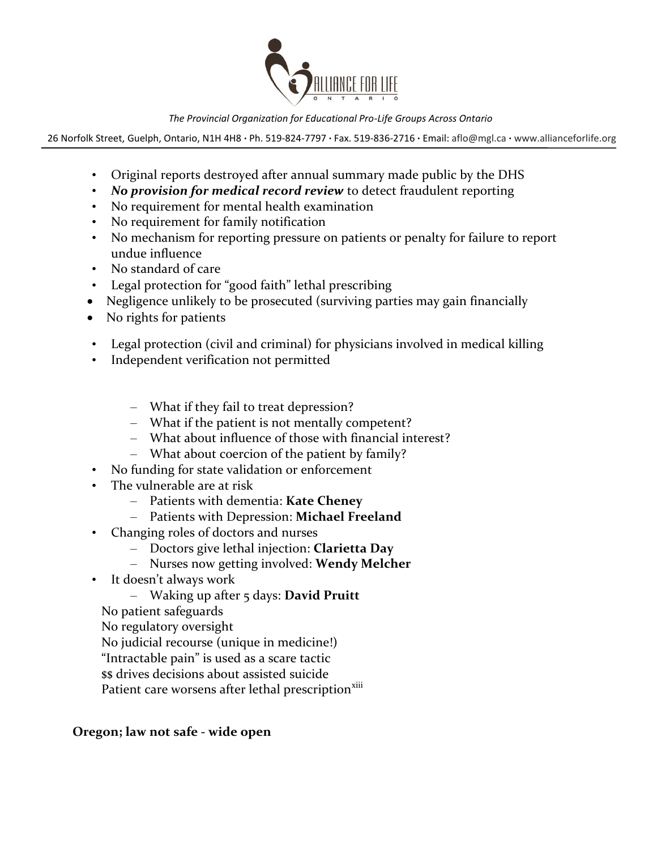

26 Norfolk Street, Guelph, Ontario, N1H 4H8 **∙** Ph. 519-824-7797 **∙** Fax. 519-836-2716 **∙** Email: [aflo@mgl.ca](mailto:aflo@mgl.ca) **∙** [www.allianceforlife.org](http://www.allianceforlife.org/)

- Original reports destroyed after annual summary made public by the DHS
- *No provision for medical record review* to detect fraudulent reporting
- No requirement for mental health examination
- No requirement for family notification
- No mechanism for reporting pressure on patients or penalty for failure to report undue influence
- No standard of care
- Legal protection for "good faith" lethal prescribing
- Negligence unlikely to be prosecuted (surviving parties may gain financially
- No rights for patients
- Legal protection (civil and criminal) for physicians involved in medical killing
- Independent verification not permitted
	- What if they fail to treat depression?
	- What if the patient is not mentally competent?
	- What about influence of those with financial interest?
	- What about coercion of the patient by family?
- No funding for state validation or enforcement
- The vulnerable are at risk
	- Patients with dementia: **Kate Cheney**
	- Patients with Depression: **Michael Freeland**
- Changing roles of doctors and nurses
	- Doctors give lethal injection: **Clarietta Day**
	- Nurses now getting involved: **Wendy Melcher**
- It doesn't always work
	- Waking up after 5 days: **David Pruitt**
	- No patient safeguards
	- No regulatory oversight
	- No judicial recourse (unique in medicine!)
	- "Intractable pain" is used as a scare tactic
	- \$\$ drives decisions about assisted suicide
	- Patient care worsens after lethal prescription<sup>xiii</sup>

### **Oregon; law not safe - wide open**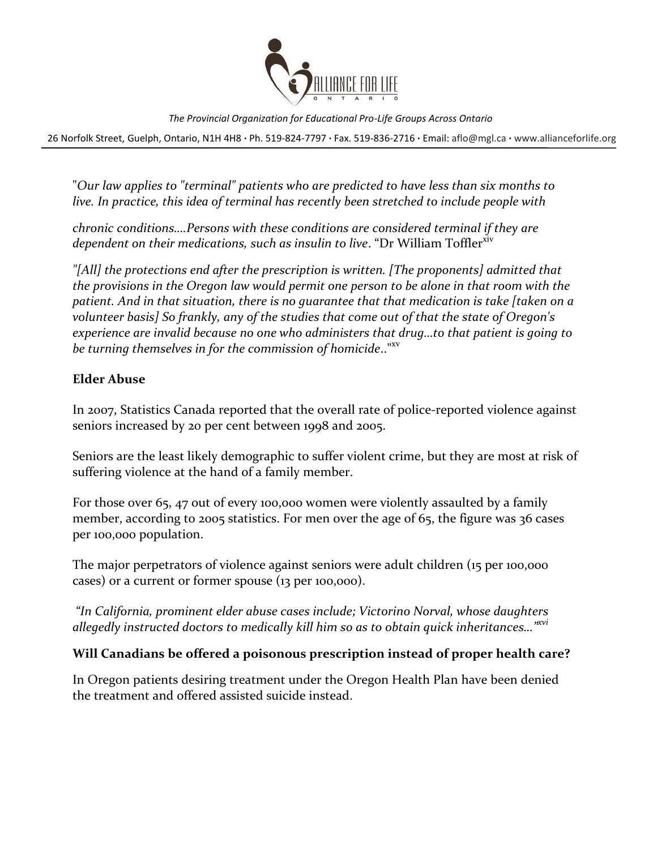

26 Norfolk Street, Guelph, Ontario, N1H 4H8 **∙** Ph. 519-824-7797 **∙** Fax. 519-836-2716 **∙** Email: [aflo@mgl.ca](mailto:aflo@mgl.ca) **∙** [www.allianceforlife.org](http://www.allianceforlife.org/)

"*Our law applies to "terminal" patients who are predicted to have less than six months to live. In practice, this idea of terminal has recently been stretched to include people with* 

*chronic conditions….Persons with these conditions are considered terminal if they are*  dependent on their medications, such as insulin to live. "Dr William Toffler<sup>xiv</sup>

*"[All] the protections end after the prescription is written. [The proponents] admitted that the provisions in the Oregon law would permit one person to be alone in that room with the patient. And in that situation, there is no guarantee that that medication is take [taken on a volunteer basis] So frankly, any of the studies that come out of that the state of Oregon's experience are invalid because no one who administers that drug…to that patient is going to be turning themselves in for the commission of homicide*.."xv

### **Elder Abuse**

In 2007, Statistics Canada reported that the overall rate of police-reported violence against seniors increased by 20 per cent between 1998 and 2005.

Seniors are the least likely demographic to suffer violent crime, but they are most at risk of suffering violence at the hand of a family member.

For those over 65, 47 out of every 100,000 women were violently assaulted by a family member, according to 2005 statistics. For men over the age of 65, the figure was 36 cases per 100,000 population.

The major perpetrators of violence against seniors were adult children (15 per 100,000 cases) or a current or former spouse (13 per 100,000).

*"In California, prominent elder abuse cases include; Victorino Norval, whose daughters allegedly instructed doctors to medically kill him so as to obtain quick inheritances…"xvi*

### **Will Canadians be offered a poisonous prescription instead of proper health care?**

In Oregon patients desiring treatment under the Oregon Health Plan have been denied the treatment and offered assisted suicide instead.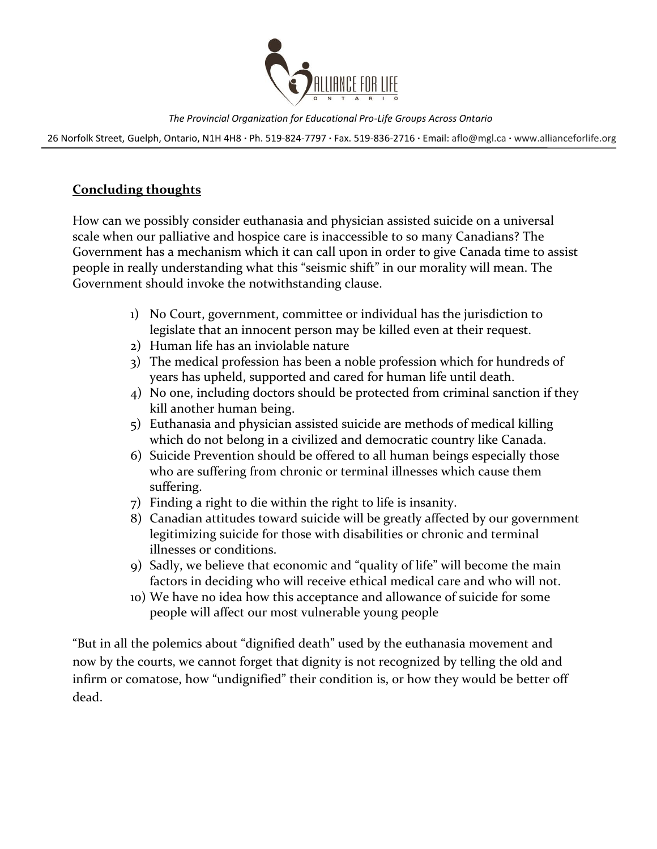

26 Norfolk Street, Guelph, Ontario, N1H 4H8 **∙** Ph. 519-824-7797 **∙** Fax. 519-836-2716 **∙** Email: [aflo@mgl.ca](mailto:aflo@mgl.ca) **∙** [www.allianceforlife.org](http://www.allianceforlife.org/)

### **Concluding thoughts**

How can we possibly consider euthanasia and physician assisted suicide on a universal scale when our palliative and hospice care is inaccessible to so many Canadians? The Government has a mechanism which it can call upon in order to give Canada time to assist people in really understanding what this "seismic shift" in our morality will mean. The Government should invoke the notwithstanding clause.

- 1) No Court, government, committee or individual has the jurisdiction to legislate that an innocent person may be killed even at their request.
- 2) Human life has an inviolable nature
- 3) The medical profession has been a noble profession which for hundreds of years has upheld, supported and cared for human life until death.
- 4) No one, including doctors should be protected from criminal sanction if they kill another human being.
- 5) Euthanasia and physician assisted suicide are methods of medical killing which do not belong in a civilized and democratic country like Canada.
- 6) Suicide Prevention should be offered to all human beings especially those who are suffering from chronic or terminal illnesses which cause them suffering.
- 7) Finding a right to die within the right to life is insanity.
- 8) Canadian attitudes toward suicide will be greatly affected by our government legitimizing suicide for those with disabilities or chronic and terminal illnesses or conditions.
- 9) Sadly, we believe that economic and "quality of life" will become the main factors in deciding who will receive ethical medical care and who will not.
- 10) We have no idea how this acceptance and allowance of suicide for some people will affect our most vulnerable young people

"But in all the polemics about "dignified death" used by the euthanasia movement and now by the courts, we cannot forget that dignity is not recognized by telling the old and infirm or comatose, how "undignified" their condition is, or how they would be better off dead.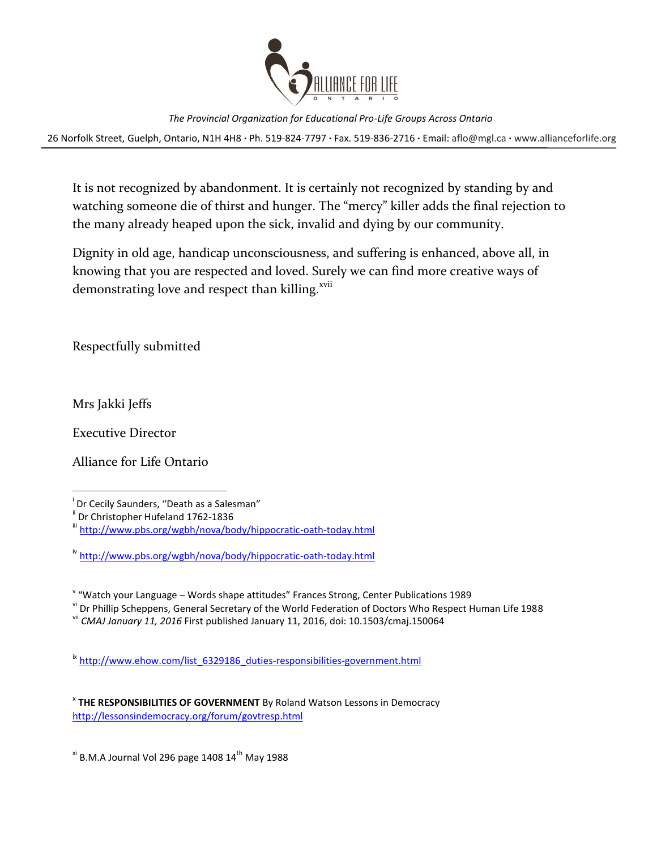

26 Norfolk Street, Guelph, Ontario, N1H 4H8 **∙** Ph. 519-824-7797 **∙** Fax. 519-836-2716 **∙** Email: [aflo@mgl.ca](mailto:aflo@mgl.ca) **∙** [www.allianceforlife.org](http://www.allianceforlife.org/)

It is not recognized by abandonment. It is certainly not recognized by standing by and watching someone die of thirst and hunger. The "mercy" killer adds the final rejection to the many already heaped upon the sick, invalid and dying by our community.

Dignity in old age, handicap unconsciousness, and suffering is enhanced, above all, in knowing that you are respected and loved. Surely we can find more creative ways of demonstrating love and respect than killing.<sup>xvii</sup>

Respectfully submitted

Mrs Jakki Jeffs

l

Executive Director

Alliance for Life Ontario

vi Dr Phillip Scheppens, General Secretary of the World Federation of Doctors Who Respect Human Life 1988

ix [http://www.ehow.com/list\\_6329186\\_duties-responsibilities-government.html](http://www.ehow.com/list_6329186_duties-responsibilities-government.html)

 $x<sup>i</sup>$  B.M.A Journal Vol 296 page 1408 14<sup>th</sup> May 1988

i Dr Cecily Saunders, "Death as a Salesman"

<sup>&</sup>lt;sup>ii</sup> Dr Christopher Hufeland 1762-1836

iii <http://www.pbs.org/wgbh/nova/body/hippocratic-oath-today.html>

iv <http://www.pbs.org/wgbh/nova/body/hippocratic-oath-today.html>

v "Watch your Language – Words shape attitudes" Frances Strong, Center Publications 1989

vii *CMAJ January 11, 2016* First published January 11, 2016, doi: 10.1503/cmaj.150064

x **THE RESPONSIBILITIES OF GOVERNMENT** By Roland Watson Lessons in Democracy <http://lessonsindemocracy.org/forum/govtresp.html>